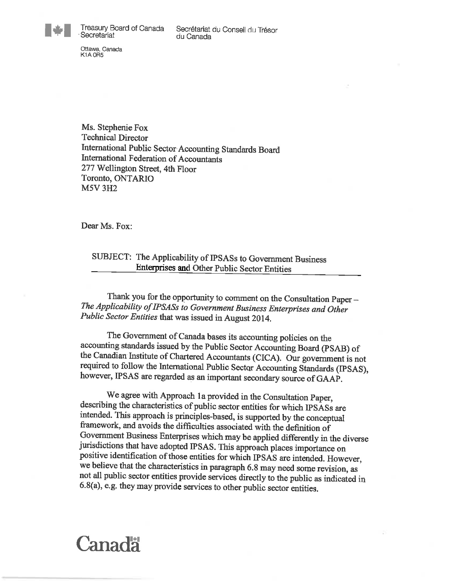Treasury Board of Canada Secretariat

Ottawa, Canada**K1A 0R5** 

Ms. Stephenie Fox Technical Director International Public Sector Accounting Standards BoardInternational Federation of Accountants277 Wellington Street, 4fh FloorToronto, ONTARIOM5V 3H2

Dear Ms. Fox:

## SUBJECT: The Applicability of IPSASs to Government Business Enterprises and Other Public Sector Entities

Thank you for the opportunity to comment on the Consultation Paper -The Applicability of IPSASs to Government Business Enterprises and Other Public Sector Entities that was issued in August 2014.

The Government of Canada bases its accounting policies on theaccounting standards issued by the Public Sector Accounting Board (PSAB) the Canadian histitute of Chartered Accountants (CICA). Our government is not required to follow the International Public Sector Accounting Standards (IPSAS),however, IPSAS are regarded as an important secondary source of GAAP.

We agree with Approach la provided in the Consultation Paper, describing the characteristics of public sector entities for which IPSASs areintended. This approach is principles-based, is supported by the conceptual framework, and avoids the difficulties associated with the definition ofGovernment Business Enterprises which may be applied differently in the div jurisdictions that have adopted IPSAS. This approach places importance onpositive identification of those entities for which IPSAS are intended. Howe we believe that the characteristics in paragraph 6.8 may need some revision, as not all public sector entities provide services directly to fhe public as indicated in6.8(a), e.g. they may provide services to other public sector entities.

## Canada

1\*1